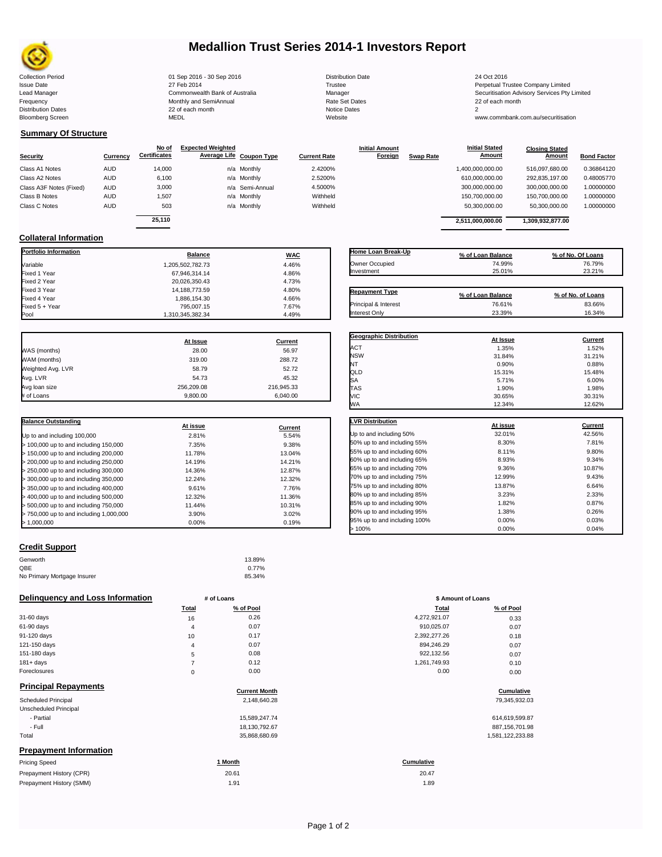

# **Medallion Trust Series 2014-1 Investors Report**

Collection Period 24 Oct 2016 101 Sep 2016 - 30 Sep 2016 2016 2016 Distribution Date 24 Oct 2016 Issue Date 2014 27 Feb 2014 27 Feb 2014<br>In the 2011 Commonwealth Bank of Australia 2008 Manager 2008 2014 2014 2014 2015 Securitisation Advisory Services Pty Lead Manager **Commonwealth Bank of Australia** Manager Manager Securitisation Advisory Services Pty Limited Frequency Communication Communication Monthly and SemiAnnual Communication Communication Communication Communication Communication Communication Communication Communication Communication Communication Communication Communi n and the month of the contract of the contract of the contract of the contract of the contract of the contract of the contract of the contract of the contract of the contract of the contract of the contract of the contrac Bloomberg Screen MEDL Website www.commbank.com.au/securitisation

**Closing Stated Amount**

## **Summary Of Structure**

**Collateral Information**

|                         |            | No of               | <b>Expected Weighted</b> |              | <b>Initial Amount</b> |                  | <b>Initial Stated</b> | <b>Closing Stated</b> |                    |
|-------------------------|------------|---------------------|--------------------------|--------------|-----------------------|------------------|-----------------------|-----------------------|--------------------|
| Security                | Currency   | <b>Certificates</b> | Average Life Coupon Type | Current Rate | Foreign               | <b>Swap Rate</b> | <b>Amount</b>         | Amount                | <b>Bond Factor</b> |
| Class A1 Notes          | <b>AUD</b> | 14.000              | n/a Monthly              | 2.4200%      |                       |                  | 1,400,000,000.00      | 516.097.680.00        | 0.36864120         |
| Class A2 Notes          | <b>AUD</b> | 6,100               | n/a Monthly              | 2.5200%      |                       |                  | 610,000,000.00        | 292,835,197.00        | 0.48005770         |
| Class A3F Notes (Fixed) | AUD        | 3,000               | n/a Semi-Annual          | 4.5000%      |                       |                  | 300,000,000.00        | 300,000,000.00        | 1.00000000         |
| Class B Notes           | AUD        | 1.507               | n/a Monthly              | Withheld     |                       |                  | 150,700,000.00        | 150.700.000.00        | 1.00000000         |
| Class C Notes           | AUD        | 503                 | n/a Monthly              | Withheld     |                       |                  | 50,300,000.00         | 50,300,000.00         | 1.00000000         |
|                         |            | 25.110              |                          |              |                       |                  | 2.511.000.000.00      | 1.309.932.877.00      |                    |
|                         |            |                     |                          |              |                       |                  |                       |                       |                    |

**Portfolio Information Balance WAC** Variable 1,205,502,782.73 4.46% Fixed 1 Year 4.86% Fixed 2 Year 20,026,350.43 4.73% Fixed 3 Year 14,188,773.59 4.80%

Fixed 5 + Year 795,007.15 7.67%

1,310,345,382.34

| Home Loan Break-Up    | % of Loan Balance | % of No. Of Loans |
|-----------------------|-------------------|-------------------|
| Owner Occupied        | 74.99%            | 76.79%            |
| Investment            | 25.01%            | 23.21%            |
| <b>Repayment Type</b> | % of Loan Balance | % of No. of Loans |
|                       |                   |                   |
| Principal & Interest  | 76.61%            | 83.66%            |

**Initial Stated** 

|                   | At Issue   | Current    |
|-------------------|------------|------------|
| WAS (months)      | 28.00      | 56.97      |
| WAM (months)      | 319.00     | 288.72     |
| Weighted Avg. LVR | 58.79      | 52.72      |
| Avg. LVR          | 54.73      | 45.32      |
| Avg loan size     | 256.209.08 | 216.945.33 |
| # of Loans        | 9.800.00   | 6.040.00   |

Fixed 4 Year 1,886,154.30 4.66%

| <b>Balance Outstanding</b>              |          |         |
|-----------------------------------------|----------|---------|
|                                         | At issue | Current |
| Up to and including 100,000             | 2.81%    | 5.54%   |
| $>$ 100,000 up to and including 150,000 | 7.35%    | 9.38%   |
| $>$ 150,000 up to and including 200,000 | 11.78%   | 13.04%  |
| > 200,000 up to and including 250,000   | 14.19%   | 14.21%  |
| > 250,000 up to and including 300,000   | 14.36%   | 12.87%  |
| > 300,000 up to and including 350,000   | 12.24%   | 12.32%  |
| > 350,000 up to and including 400,000   | 9.61%    | 7.76%   |
| $>$ 400,000 up to and including 500,000 | 12.32%   | 11.36%  |
| > 500,000 up to and including 750,000   | 11.44%   | 10.31%  |
| > 750,000 up to and including 1,000,000 | 3.90%    | 3.02%   |
| > 1.000.000                             | 0.00%    | 0.19%   |

## **Credit Support**

| Genworth                    | 13.89% |
|-----------------------------|--------|
| QBE                         | 0.77%  |
| No Primary Mortgage Insurer | 85.34% |

#### **Delinquency and Loss Information # of Loans**

|              | Total          | % of Pool | Total        | % of Pool |
|--------------|----------------|-----------|--------------|-----------|
| 31-60 days   | 16             | 0.26      | 4,272,921.07 | 0.33      |
| 61-90 days   | $\overline{4}$ | 0.07      | 910,025.07   | 0.07      |
| 91-120 days  | 10             | 0.17      | 2,392,277.26 | 0.18      |
| 121-150 days | 4              | 0.07      | 894,246.29   | 0.07      |
| 151-180 days | 5              | 0.08      | 922,132.56   | 0.07      |
| $181 + days$ |                | 0.12      | 1,261,749.93 | 0.10      |
| Foreclosures | 0              | 0.00      | 0.00         | 0.00      |
|              |                |           |              |           |

| <b>Principal Repayments</b>   | <b>Current Month</b> | Cumulative        |
|-------------------------------|----------------------|-------------------|
|                               |                      |                   |
| <b>Scheduled Principal</b>    | 2,148,640.28         | 79,345,932.03     |
| Unscheduled Principal         |                      |                   |
| - Partial                     | 15,589,247.74        | 614,619,599.87    |
| - Full                        | 18.130.792.67        | 887, 156, 701. 98 |
| Total                         | 35,868,680.69        | 1,581,122,233.88  |
| <b>Prepayment Information</b> |                      |                   |
| <b>Pricing Speed</b>          | 1 Month              | <b>Cumulative</b> |
| Drapoumont History (CDD)      | 20.64                | 20.47             |

| Prepayment History (CPR) | 20.61 | 20.47 |
|--------------------------|-------|-------|
| Prepayment History (SMM) | 1.91  | 1.89  |

| <b>Geographic Distribution</b> | At Issue | Current |
|--------------------------------|----------|---------|
| <b>ACT</b>                     | 1.35%    | 1.52%   |
| <b>NSW</b>                     | 31.84%   | 31.21%  |
| NT                             | 0.90%    | 0.88%   |
| QLD                            | 15.31%   | 15.48%  |
| SA                             | 5.71%    | 6.00%   |
| TAS                            | 1.90%    | 1.98%   |
| VIC                            | 30.65%   | 30.31%  |
| <b>WA</b>                      | 12.34%   | 12.62%  |

| <b>LVR Distribution</b>      | At issue | Current |
|------------------------------|----------|---------|
| Up to and including 50%      | 32.01%   | 42.56%  |
| 50% up to and including 55%  | 8.30%    | 7.81%   |
| 55% up to and including 60%  | 8.11%    | 9.80%   |
| 60% up to and including 65%  | 8.93%    | 9.34%   |
| 65% up to and including 70%  | 9.36%    | 10.87%  |
| 70% up to and including 75%  | 12.99%   | 9.43%   |
| 75% up to and including 80%  | 13.87%   | 6.64%   |
| 80% up to and including 85%  | 3.23%    | 2.33%   |
| 85% up to and including 90%  | 1.82%    | 0.87%   |
| 90% up to and including 95%  | 1.38%    | 0.26%   |
| 95% up to and including 100% | 0.00%    | 0.03%   |
| 100%                         | 0.00%    | 0.04%   |

|                | # of Loans | \$ Amount of Loans |           |  |
|----------------|------------|--------------------|-----------|--|
| Total          | % of Pool  | Total              | % of Pool |  |
| 16             | 0.26       | 4,272,921.07       | 0.33      |  |
| $\overline{4}$ | 0.07       | 910,025.07         | 0.07      |  |
| 10             | 0.17       | 2,392,277.26       | 0.18      |  |
| $\overline{4}$ | 0.07       | 894,246.29         | 0.07      |  |
| 5              | 0.08       | 922,132.56         | 0.07      |  |
| 7              | 0.12       | 1,261,749.93       | 0.10      |  |
| $\mathbf 0$    | 0.00       | 0.00               | 0.00      |  |

# **Cumulative Cumulative**

| 614,619,599.87   |
|------------------|
| 887.156.701.98   |
| 1,581,122,233.88 |

# 20.47